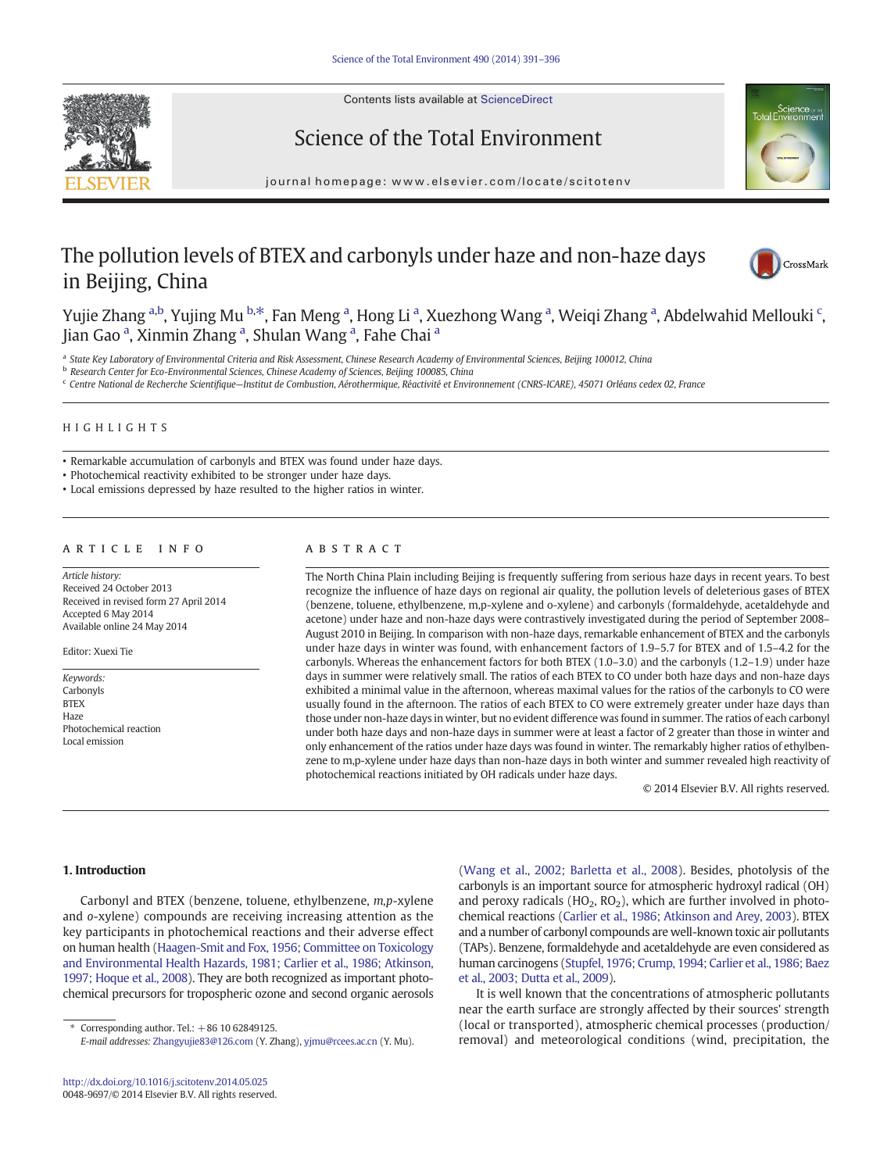Contents lists available at ScienceDirect

Science of the Total Environment





journal homepage: www.elsevier.com/locate/scitotenv

# The pollution levels of BTEX and carbonyls under haze and non-haze days in Beijing, China



Yujie Zhang <sup>a,b</sup>, Yujing Mu <sup>b,\*</sup>, Fan Meng <sup>a</sup>, Hong Li <sup>a</sup>, Xuezhong Wang <sup>a</sup>, Weiqi Zhang <sup>a</sup>, Abdelwahid Mellouki <sup>c</sup>, Jian Gao <sup>a</sup>, Xinmin Zhang <sup>a</sup>, Shulan Wang <sup>a</sup>, Fahe Chai <sup>a</sup>

a State Key Laboratory of Environmental Criteria and Risk Assessment, Chinese Research Academy of Environmental Sciences, Beijing 100012, China

b Research Center for Eco-Environmental Sciences, Chinese Academy of Sciences, Beijing 100085, China

<sup>c</sup> Centre National de Recherche Scientifique—Institut de Combustion, Aérothermique, Réactivité et Environnement (CNRS-ICARE), 45071 Orléans cedex 02, France

#### HIGHLIGHTS

• Remarkable accumulation of carbonyls and BTEX was found under haze days.

• Photochemical reactivity exhibited to be stronger under haze days.

• Local emissions depressed by haze resulted to the higher ratios in winter.

## article info abstract

Article history: Received 24 October 2013 Received in revised form 27 April 2014 Accepted 6 May 2014 Available online 24 May 2014

Editor: Xuexi Tie

Keywords: Carbonyls **BTFX** Haze Photochemical reaction Local emission

The North China Plain including Beijing is frequently suffering from serious haze days in recent years. To best recognize the influence of haze days on regional air quality, the pollution levels of deleterious gases of BTEX (benzene, toluene, ethylbenzene, m,p-xylene and o-xylene) and carbonyls (formaldehyde, acetaldehyde and acetone) under haze and non-haze days were contrastively investigated during the period of September 2008– August 2010 in Beijing. In comparison with non-haze days, remarkable enhancement of BTEX and the carbonyls under haze days in winter was found, with enhancement factors of 1.9–5.7 for BTEX and of 1.5–4.2 for the carbonyls. Whereas the enhancement factors for both BTEX (1.0–3.0) and the carbonyls (1.2–1.9) under haze days in summer were relatively small. The ratios of each BTEX to CO under both haze days and non-haze days exhibited a minimal value in the afternoon, whereas maximal values for the ratios of the carbonyls to CO were usually found in the afternoon. The ratios of each BTEX to CO were extremely greater under haze days than those under non-haze days in winter, but no evident difference was found in summer. The ratios of each carbonyl under both haze days and non-haze days in summer were at least a factor of 2 greater than those in winter and only enhancement of the ratios under haze days was found in winter. The remarkably higher ratios of ethylbenzene to m,p-xylene under haze days than non-haze days in both winter and summer revealed high reactivity of photochemical reactions initiated by OH radicals under haze days.

© 2014 Elsevier B.V. All rights reserved.

#### 1. Introduction

Carbonyl and BTEX (benzene, toluene, ethylbenzene, m,p-xylene and o-xylene) compounds are receiving increasing attention as the key participants in photochemical reactions and their adverse effect on human health ([Haagen-Smit and Fox, 1956; Committee on Toxicology](#page-4-0) [and Environmental Health Hazards, 1981; Carlier et al., 1986; Atkinson,](#page-4-0) [1997; Hoque et al., 2008\)](#page-4-0). They are both recognized as important photochemical precursors for tropospheric ozone and second organic aerosols

Corresponding author. Tel.: +86 10 62849125.

[\(Wang et al., 2002; Barletta et al., 2008\)](#page-5-0). Besides, photolysis of the carbonyls is an important source for atmospheric hydroxyl radical (OH) and peroxy radicals ( $HO<sub>2</sub>$ ,  $RO<sub>2</sub>$ ), which are further involved in photochemical reactions [\(Carlier et al., 1986; Atkinson and Arey, 2003\)](#page-4-0). BTEX and a number of carbonyl compounds are well-known toxic air pollutants (TAPs). Benzene, formaldehyde and acetaldehyde are even considered as human carcinogens ([Stupfel, 1976; Crump, 1994; Carlier et al., 1986; Baez](#page-5-0) [et al., 2003; Dutta et al., 2009\)](#page-5-0).

It is well known that the concentrations of atmospheric pollutants near the earth surface are strongly affected by their sources' strength (local or transported), atmospheric chemical processes (production/ removal) and meteorological conditions (wind, precipitation, the

E-mail addresses: [Zhangyujie83@126.com](mailto:Zhangyujie83@126.com) (Y. Zhang), [yjmu@rcees.ac.cn](mailto:yjmu@rcees.ac.cn) (Y. Mu).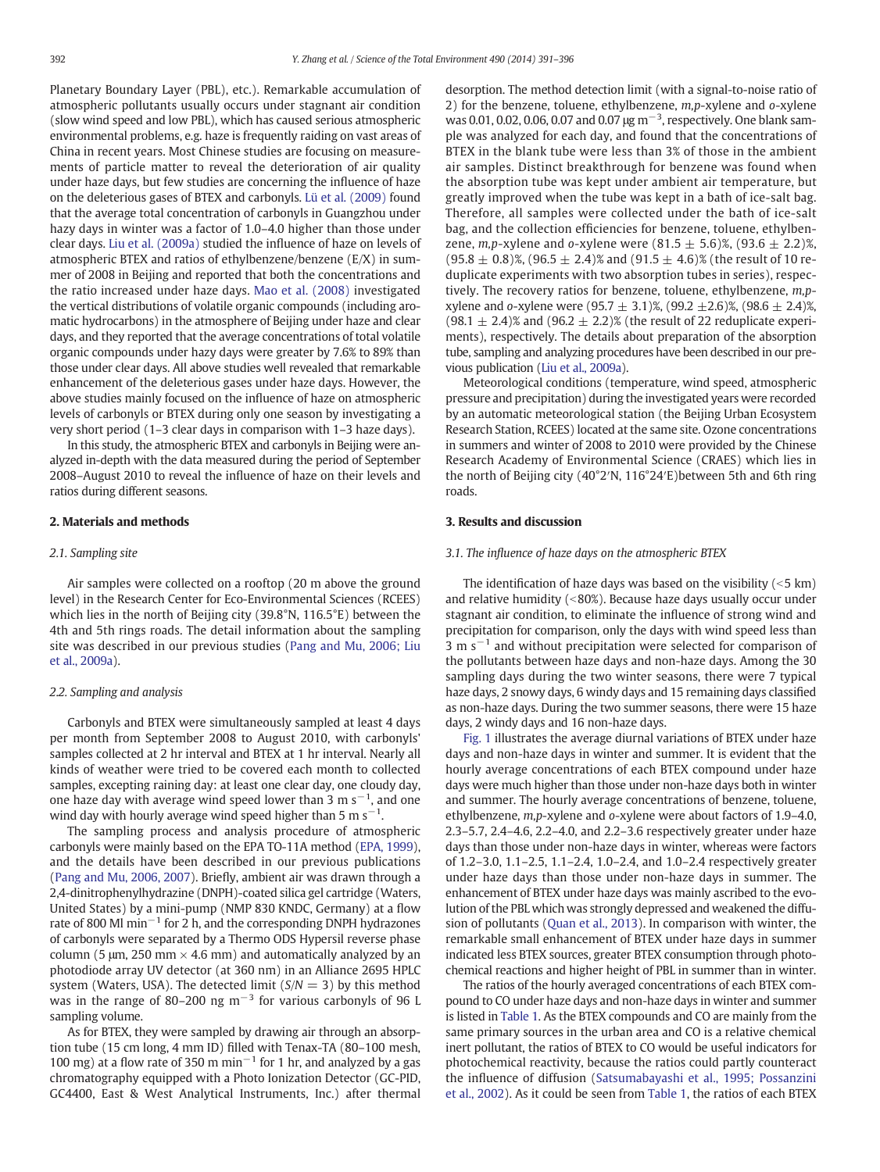Planetary Boundary Layer (PBL), etc.). Remarkable accumulation of atmospheric pollutants usually occurs under stagnant air condition (slow wind speed and low PBL), which has caused serious atmospheric environmental problems, e.g. haze is frequently raiding on vast areas of China in recent years. Most Chinese studies are focusing on measurements of particle matter to reveal the deterioration of air quality under haze days, but few studies are concerning the influence of haze on the deleterious gases of BTEX and carbonyls. [Lü et al. \(2009\)](#page-4-0) found that the average total concentration of carbonyls in Guangzhou under hazy days in winter was a factor of 1.0–4.0 higher than those under clear days. [Liu et al. \(2009a\)](#page-4-0) studied the influence of haze on levels of atmospheric BTEX and ratios of ethylbenzene/benzene (E/X) in summer of 2008 in Beijing and reported that both the concentrations and the ratio increased under haze days. [Mao et al. \(2008\)](#page-4-0) investigated the vertical distributions of volatile organic compounds (including aromatic hydrocarbons) in the atmosphere of Beijing under haze and clear days, and they reported that the average concentrations of total volatile organic compounds under hazy days were greater by 7.6% to 89% than those under clear days. All above studies well revealed that remarkable enhancement of the deleterious gases under haze days. However, the above studies mainly focused on the influence of haze on atmospheric levels of carbonyls or BTEX during only one season by investigating a very short period (1–3 clear days in comparison with 1–3 haze days).

In this study, the atmospheric BTEX and carbonyls in Beijing were analyzed in-depth with the data measured during the period of September 2008–August 2010 to reveal the influence of haze on their levels and ratios during different seasons.

#### 2. Materials and methods

#### 2.1. Sampling site

Air samples were collected on a rooftop (20 m above the ground level) in the Research Center for Eco-Environmental Sciences (RCEES) which lies in the north of Beijing city (39.8°N, 116.5°E) between the 4th and 5th rings roads. The detail information about the sampling site was described in our previous studies [\(Pang and Mu, 2006; Liu](#page-4-0) [et al., 2009a](#page-4-0)).

#### 2.2. Sampling and analysis

Carbonyls and BTEX were simultaneously sampled at least 4 days per month from September 2008 to August 2010, with carbonyls' samples collected at 2 hr interval and BTEX at 1 hr interval. Nearly all kinds of weather were tried to be covered each month to collected samples, excepting raining day: at least one clear day, one cloudy day, one haze day with average wind speed lower than 3 m s<sup>-1</sup>, and one wind day with hourly average wind speed higher than 5 m s<sup>-1</sup>.

The sampling process and analysis procedure of atmospheric carbonyls were mainly based on the EPA TO-11A method ([EPA, 1999\)](#page-4-0), and the details have been described in our previous publications [\(Pang and Mu, 2006, 2007\)](#page-4-0). Briefly, ambient air was drawn through a 2,4-dinitrophenylhydrazine (DNPH)-coated silica gel cartridge (Waters, United States) by a mini-pump (NMP 830 KNDC, Germany) at a flow rate of 800 Ml min<sup> $-1$ </sup> for 2 h, and the corresponding DNPH hydrazones of carbonyls were separated by a Thermo ODS Hypersil reverse phase column (5  $\mu$ m, 250 mm  $\times$  4.6 mm) and automatically analyzed by an photodiode array UV detector (at 360 nm) in an Alliance 2695 HPLC system (Waters, USA). The detected limit  $(S/N = 3)$  by this method was in the range of 80–200 ng m<sup>-3</sup> for various carbonyls of 96 L sampling volume.

As for BTEX, they were sampled by drawing air through an absorption tube (15 cm long, 4 mm ID) filled with Tenax-TA (80–100 mesh, 100 mg) at a flow rate of 350 m min<sup>-1</sup> for 1 hr, and analyzed by a gas chromatography equipped with a Photo Ionization Detector (GC-PID, GC4400, East & West Analytical Instruments, Inc.) after thermal desorption. The method detection limit (with a signal-to-noise ratio of 2) for the benzene, toluene, ethylbenzene, m,p-xylene and o-xylene was 0.01, 0.02, 0.06, 0.07 and 0.07  $\mu$ g m<sup>-3</sup>, respectively. One blank sample was analyzed for each day, and found that the concentrations of BTEX in the blank tube were less than 3% of those in the ambient air samples. Distinct breakthrough for benzene was found when the absorption tube was kept under ambient air temperature, but greatly improved when the tube was kept in a bath of ice-salt bag. Therefore, all samples were collected under the bath of ice-salt bag, and the collection efficiencies for benzene, toluene, ethylbenzene, *m*,*p*-xylene and *o*-xylene were (81.5  $\pm$  5.6)%, (93.6  $\pm$  2.2)%,  $(95.8 \pm 0.8)\%$ ,  $(96.5 \pm 2.4)\%$  and  $(91.5 \pm 4.6)\%$  (the result of 10 reduplicate experiments with two absorption tubes in series), respectively. The recovery ratios for benzene, toluene, ethylbenzene, m,pxylene and o-xylene were  $(95.7 \pm 3.1)$ %,  $(99.2 \pm 2.6)$ %,  $(98.6 \pm 2.4)$ %,  $(98.1 \pm 2.4)$ % and  $(96.2 \pm 2.2)$ % (the result of 22 reduplicate experiments), respectively. The details about preparation of the absorption tube, sampling and analyzing procedures have been described in our previous publication ([Liu et al., 2009a\)](#page-4-0).

Meteorological conditions (temperature, wind speed, atmospheric pressure and precipitation) during the investigated years were recorded by an automatic meteorological station (the Beijing Urban Ecosystem Research Station, RCEES) located at the same site. Ozone concentrations in summers and winter of 2008 to 2010 were provided by the Chinese Research Academy of Environmental Science (CRAES) which lies in the north of Beijing city (40°2′N, 116°24′E)between 5th and 6th ring roads.

#### 3. Results and discussion

#### 3.1. The influence of haze days on the atmospheric BTEX

The identification of haze days was based on the visibility  $(5 \text{ km})$ and relative humidity  $($  <80%). Because haze days usually occur under stagnant air condition, to eliminate the influence of strong wind and precipitation for comparison, only the days with wind speed less than 3 m s<sup>-1</sup> and without precipitation were selected for comparison of the pollutants between haze days and non-haze days. Among the 30 sampling days during the two winter seasons, there were 7 typical haze days, 2 snowy days, 6 windy days and 15 remaining days classified as non-haze days. During the two summer seasons, there were 15 haze days, 2 windy days and 16 non-haze days.

[Fig. 1](#page-2-0) illustrates the average diurnal variations of BTEX under haze days and non-haze days in winter and summer. It is evident that the hourly average concentrations of each BTEX compound under haze days were much higher than those under non-haze days both in winter and summer. The hourly average concentrations of benzene, toluene, ethylbenzene, m,p-xylene and o-xylene were about factors of 1.9–4.0, 2.3–5.7, 2.4–4.6, 2.2–4.0, and 2.2–3.6 respectively greater under haze days than those under non-haze days in winter, whereas were factors of 1.2–3.0, 1.1–2.5, 1.1–2.4, 1.0–2.4, and 1.0–2.4 respectively greater under haze days than those under non-haze days in summer. The enhancement of BTEX under haze days was mainly ascribed to the evolution of the PBL which was strongly depressed and weakened the diffusion of pollutants ([Quan et al., 2013\)](#page-4-0). In comparison with winter, the remarkable small enhancement of BTEX under haze days in summer indicated less BTEX sources, greater BTEX consumption through photochemical reactions and higher height of PBL in summer than in winter.

The ratios of the hourly averaged concentrations of each BTEX compound to CO under haze days and non-haze days in winter and summer is listed in [Table 1](#page-2-0). As the BTEX compounds and CO are mainly from the same primary sources in the urban area and CO is a relative chemical inert pollutant, the ratios of BTEX to CO would be useful indicators for photochemical reactivity, because the ratios could partly counteract the influence of diffusion ([Satsumabayashi et al., 1995; Possanzini](#page-5-0) [et al., 2002](#page-5-0)). As it could be seen from [Table 1,](#page-2-0) the ratios of each BTEX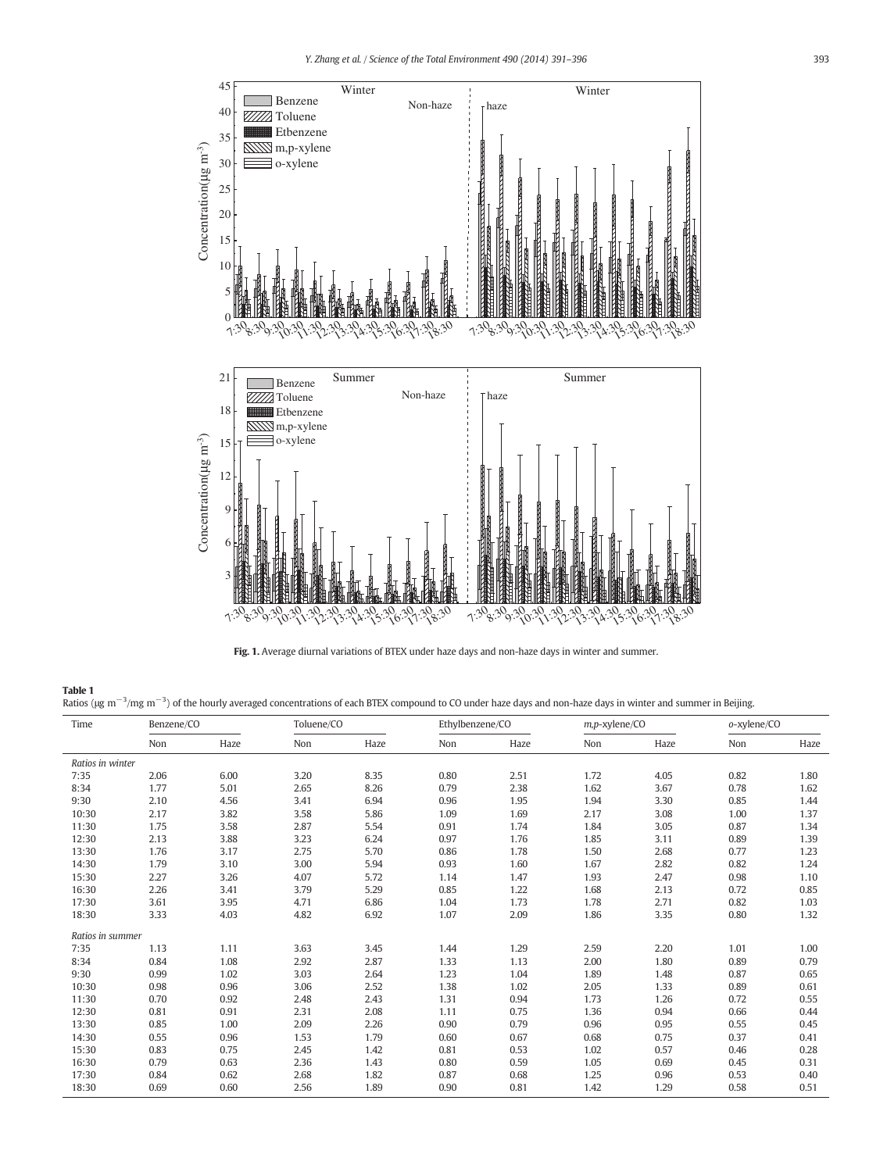<span id="page-2-0"></span>

Fig. 1. Average diurnal variations of BTEX under haze days and non-haze days in winter and summer.

| <b>Table 1</b>                                                                                                                                                                              |  |
|---------------------------------------------------------------------------------------------------------------------------------------------------------------------------------------------|--|
| Ratios ( $\mu$ g m <sup>-3</sup> /mg m <sup>-3</sup> ) of the hourly averaged concentrations of each BTEX compound to CO under haze days and non-haze days in winter and summer in Beijing. |  |

| Time             | Benzene/CO |      | Toluene/CO |      | Ethylbenzene/CO |      | $m$ , p-xylene/CO |      | o-xylene/CO |      |
|------------------|------------|------|------------|------|-----------------|------|-------------------|------|-------------|------|
|                  | Non        | Haze | Non        | Haze | Non             | Haze | Non               | Haze | Non         | Haze |
| Ratios in winter |            |      |            |      |                 |      |                   |      |             |      |
| 7:35             | 2.06       | 6.00 | 3.20       | 8.35 | 0.80            | 2.51 | 1.72              | 4.05 | 0.82        | 1.80 |
| 8:34             | 1.77       | 5.01 | 2.65       | 8.26 | 0.79            | 2.38 | 1.62              | 3.67 | 0.78        | 1.62 |
| 9:30             | 2.10       | 4.56 | 3.41       | 6.94 | 0.96            | 1.95 | 1.94              | 3.30 | 0.85        | 1.44 |
| 10:30            | 2.17       | 3.82 | 3.58       | 5.86 | 1.09            | 1.69 | 2.17              | 3.08 | 1.00        | 1.37 |
| 11:30            | 1.75       | 3.58 | 2.87       | 5.54 | 0.91            | 1.74 | 1.84              | 3.05 | 0.87        | 1.34 |
| 12:30            | 2.13       | 3.88 | 3.23       | 6.24 | 0.97            | 1.76 | 1.85              | 3.11 | 0.89        | 1.39 |
| 13:30            | 1.76       | 3.17 | 2.75       | 5.70 | 0.86            | 1.78 | 1.50              | 2.68 | 0.77        | 1.23 |
| 14:30            | 1.79       | 3.10 | 3.00       | 5.94 | 0.93            | 1.60 | 1.67              | 2.82 | 0.82        | 1.24 |
| 15:30            | 2.27       | 3.26 | 4.07       | 5.72 | 1.14            | 1.47 | 1.93              | 2.47 | 0.98        | 1.10 |
| 16:30            | 2.26       | 3.41 | 3.79       | 5.29 | 0.85            | 1.22 | 1.68              | 2.13 | 0.72        | 0.85 |
| 17:30            | 3.61       | 3.95 | 4.71       | 6.86 | 1.04            | 1.73 | 1.78              | 2.71 | 0.82        | 1.03 |
| 18:30            | 3.33       | 4.03 | 4.82       | 6.92 | 1.07            | 2.09 | 1.86              | 3.35 | 0.80        | 1.32 |
| Ratios in summer |            |      |            |      |                 |      |                   |      |             |      |
| 7:35             | 1.13       | 1.11 | 3.63       | 3.45 | 1.44            | 1.29 | 2.59              | 2.20 | 1.01        | 1.00 |
| 8:34             | 0.84       | 1.08 | 2.92       | 2.87 | 1.33            | 1.13 | 2.00              | 1.80 | 0.89        | 0.79 |
| 9:30             | 0.99       | 1.02 | 3.03       | 2.64 | 1.23            | 1.04 | 1.89              | 1.48 | 0.87        | 0.65 |
| 10:30            | 0.98       | 0.96 | 3.06       | 2.52 | 1.38            | 1.02 | 2.05              | 1.33 | 0.89        | 0.61 |
| 11:30            | 0.70       | 0.92 | 2.48       | 2.43 | 1.31            | 0.94 | 1.73              | 1.26 | 0.72        | 0.55 |
| 12:30            | 0.81       | 0.91 | 2.31       | 2.08 | 1.11            | 0.75 | 1.36              | 0.94 | 0.66        | 0.44 |
| 13:30            | 0.85       | 1.00 | 2.09       | 2.26 | 0.90            | 0.79 | 0.96              | 0.95 | 0.55        | 0.45 |
| 14:30            | 0.55       | 0.96 | 1.53       | 1.79 | 0.60            | 0.67 | 0.68              | 0.75 | 0.37        | 0.41 |
| 15:30            | 0.83       | 0.75 | 2.45       | 1.42 | 0.81            | 0.53 | 1.02              | 0.57 | 0.46        | 0.28 |
| 16:30            | 0.79       | 0.63 | 2.36       | 1.43 | 0.80            | 0.59 | 1.05              | 0.69 | 0.45        | 0.31 |
| 17:30            | 0.84       | 0.62 | 2.68       | 1.82 | 0.87            | 0.68 | 1.25              | 0.96 | 0.53        | 0.40 |
| 18:30            | 0.69       | 0.60 | 2.56       | 1.89 | 0.90            | 0.81 | 1.42              | 1.29 | 0.58        | 0.51 |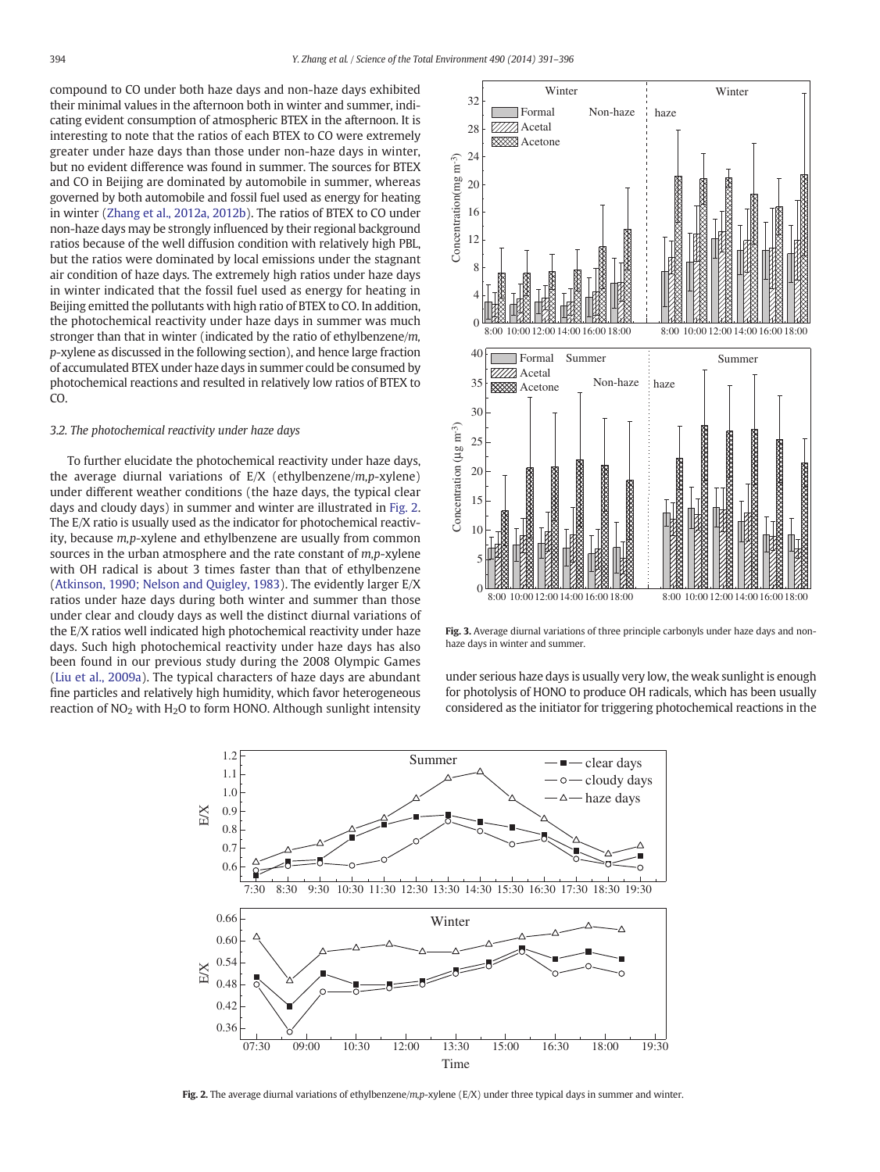<span id="page-3-0"></span>compound to CO under both haze days and non-haze days exhibited their minimal values in the afternoon both in winter and summer, indicating evident consumption of atmospheric BTEX in the afternoon. It is interesting to note that the ratios of each BTEX to CO were extremely greater under haze days than those under non-haze days in winter, but no evident difference was found in summer. The sources for BTEX and CO in Beijing are dominated by automobile in summer, whereas governed by both automobile and fossil fuel used as energy for heating in winter ([Zhang et al., 2012a, 2012b](#page-5-0)). The ratios of BTEX to CO under non-haze days may be strongly influenced by their regional background ratios because of the well diffusion condition with relatively high PBL, but the ratios were dominated by local emissions under the stagnant air condition of haze days. The extremely high ratios under haze days in winter indicated that the fossil fuel used as energy for heating in Beijing emitted the pollutants with high ratio of BTEX to CO. In addition, the photochemical reactivity under haze days in summer was much stronger than that in winter (indicated by the ratio of ethylbenzene/m, p-xylene as discussed in the following section), and hence large fraction of accumulated BTEX under haze days in summer could be consumed by photochemical reactions and resulted in relatively low ratios of BTEX to CO.

## 3.2. The photochemical reactivity under haze days

To further elucidate the photochemical reactivity under haze days, the average diurnal variations of E/X (ethylbenzene/m,p-xylene) under different weather conditions (the haze days, the typical clear days and cloudy days) in summer and winter are illustrated in Fig. 2. The E/X ratio is usually used as the indicator for photochemical reactivity, because m,p-xylene and ethylbenzene are usually from common sources in the urban atmosphere and the rate constant of m,p-xylene with OH radical is about 3 times faster than that of ethylbenzene [\(Atkinson, 1990; Nelson and Quigley, 1983\)](#page-4-0). The evidently larger E/X ratios under haze days during both winter and summer than those under clear and cloudy days as well the distinct diurnal variations of the E/X ratios well indicated high photochemical reactivity under haze days. Such high photochemical reactivity under haze days has also been found in our previous study during the 2008 Olympic Games [\(Liu et al., 2009a\)](#page-4-0). The typical characters of haze days are abundant fine particles and relatively high humidity, which favor heterogeneous reaction of  $NO<sub>2</sub>$  with H<sub>2</sub>O to form HONO. Although sunlight intensity



Fig. 3. Average diurnal variations of three principle carbonyls under haze days and nonhaze days in winter and summer.

under serious haze days is usually very low, the weak sunlight is enough for photolysis of HONO to produce OH radicals, which has been usually considered as the initiator for triggering photochemical reactions in the



Fig. 2. The average diurnal variations of ethylbenzene/m,p-xylene (E/X) under three typical days in summer and winter.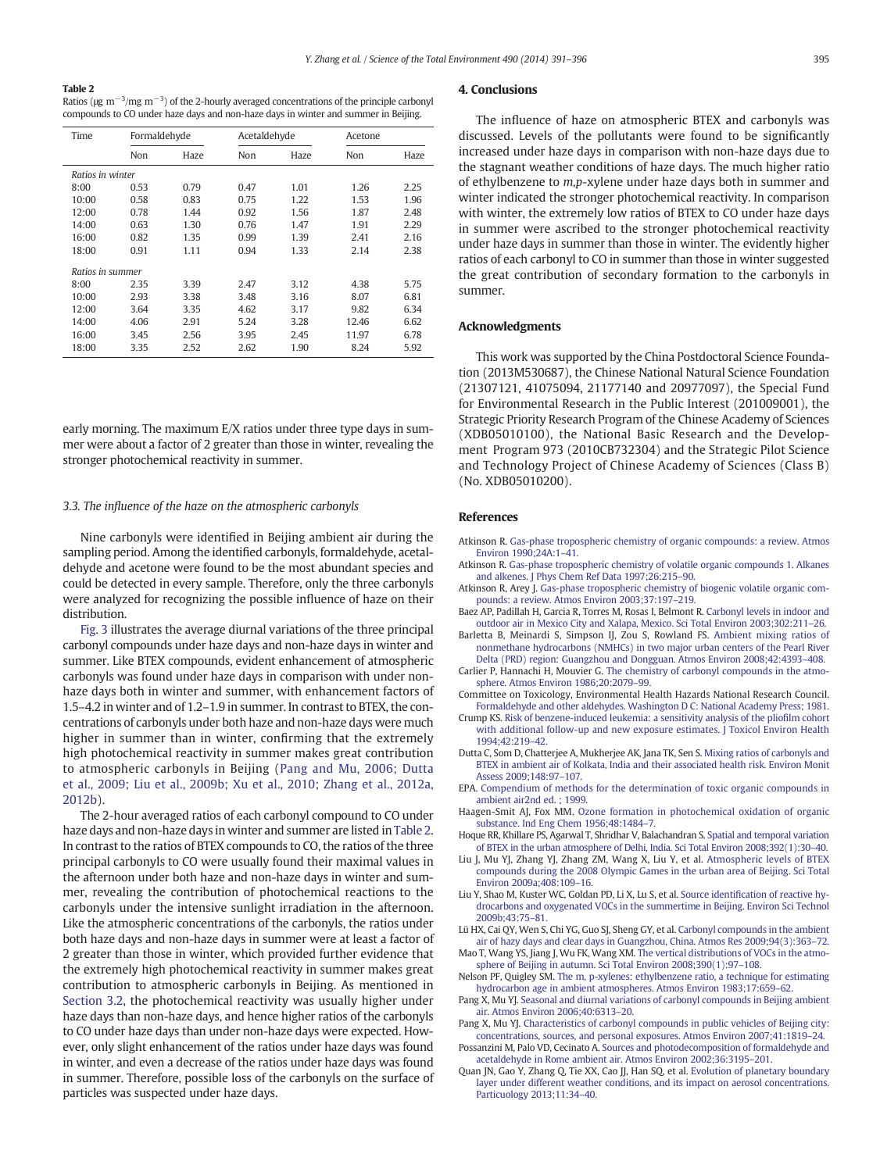#### <span id="page-4-0"></span>Table 2

Ratios ( $\mu$ g m<sup>-3</sup>/mg m<sup>-3</sup>) of the 2-hourly averaged concentrations of the principle carbonyl compounds to CO under haze days and non-haze days in winter and summer in Beijing.

| Time             | Formaldehyde |      | Acetaldehyde |      | Acetone |      |  |  |  |
|------------------|--------------|------|--------------|------|---------|------|--|--|--|
|                  | Non          | Haze | Non          | Haze | Non     | Haze |  |  |  |
| Ratios in winter |              |      |              |      |         |      |  |  |  |
| 8:00             | 0.53         | 0.79 | 0.47         | 1.01 | 1.26    | 2.25 |  |  |  |
| 10:00            | 0.58         | 0.83 | 0.75         | 1.22 | 1.53    | 1.96 |  |  |  |
| 12:00            | 0.78         | 1.44 | 0.92         | 1.56 | 1.87    | 2.48 |  |  |  |
| 14:00            | 0.63         | 1.30 | 0.76         | 1.47 | 1.91    | 2.29 |  |  |  |
| 16:00            | 0.82         | 1.35 | 0.99         | 1.39 | 2.41    | 2.16 |  |  |  |
| 18:00            | 0.91         | 1.11 | 0.94         | 1.33 | 2.14    | 2.38 |  |  |  |
| Ratios in summer |              |      |              |      |         |      |  |  |  |
| 8:00             | 2.35         | 3.39 | 2.47         | 3.12 | 4.38    | 5.75 |  |  |  |
| 10:00            | 2.93         | 3.38 | 3.48         | 3.16 | 8.07    | 6.81 |  |  |  |
| 12:00            | 3.64         | 3.35 | 4.62         | 3.17 | 9.82    | 6.34 |  |  |  |
| 14:00            | 4.06         | 2.91 | 5.24         | 3.28 | 12.46   | 6.62 |  |  |  |
| 16:00            | 3.45         | 2.56 | 3.95         | 2.45 | 11.97   | 6.78 |  |  |  |
| 18:00            | 3.35         | 2.52 | 2.62         | 1.90 | 8.24    | 5.92 |  |  |  |

early morning. The maximum E/X ratios under three type days in summer were about a factor of 2 greater than those in winter, revealing the stronger photochemical reactivity in summer.

#### 3.3. The influence of the haze on the atmospheric carbonyls

Nine carbonyls were identified in Beijing ambient air during the sampling period. Among the identified carbonyls, formaldehyde, acetaldehyde and acetone were found to be the most abundant species and could be detected in every sample. Therefore, only the three carbonyls were analyzed for recognizing the possible influence of haze on their distribution.

[Fig. 3](#page-3-0) illustrates the average diurnal variations of the three principal carbonyl compounds under haze days and non-haze days in winter and summer. Like BTEX compounds, evident enhancement of atmospheric carbonyls was found under haze days in comparison with under nonhaze days both in winter and summer, with enhancement factors of 1.5–4.2 in winter and of 1.2–1.9 in summer. In contrast to BTEX, the concentrations of carbonyls under both haze and non-haze days were much higher in summer than in winter, confirming that the extremely high photochemical reactivity in summer makes great contribution to atmospheric carbonyls in Beijing (Pang and Mu, 2006; Dutta et al., 2009; Liu et al., 2009b; Xu et al., 2010; Zhang et al., 2012a, 2012b).

The 2-hour averaged ratios of each carbonyl compound to CO under haze days and non-haze days in winter and summer are listed in Table 2. In contrast to the ratios of BTEX compounds to CO, the ratios of the three principal carbonyls to CO were usually found their maximal values in the afternoon under both haze and non-haze days in winter and summer, revealing the contribution of photochemical reactions to the carbonyls under the intensive sunlight irradiation in the afternoon. Like the atmospheric concentrations of the carbonyls, the ratios under both haze days and non-haze days in summer were at least a factor of 2 greater than those in winter, which provided further evidence that the extremely high photochemical reactivity in summer makes great contribution to atmospheric carbonyls in Beijing. As mentioned in [Section 3.2](#page-3-0), the photochemical reactivity was usually higher under haze days than non-haze days, and hence higher ratios of the carbonyls to CO under haze days than under non-haze days were expected. However, only slight enhancement of the ratios under haze days was found in winter, and even a decrease of the ratios under haze days was found in summer. Therefore, possible loss of the carbonyls on the surface of particles was suspected under haze days.

#### 4. Conclusions

The influence of haze on atmospheric BTEX and carbonyls was discussed. Levels of the pollutants were found to be significantly increased under haze days in comparison with non-haze days due to the stagnant weather conditions of haze days. The much higher ratio of ethylbenzene to m,p-xylene under haze days both in summer and winter indicated the stronger photochemical reactivity. In comparison with winter, the extremely low ratios of BTEX to CO under haze days in summer were ascribed to the stronger photochemical reactivity under haze days in summer than those in winter. The evidently higher ratios of each carbonyl to CO in summer than those in winter suggested the great contribution of secondary formation to the carbonyls in summer.

#### Acknowledgments

This work was supported by the China Postdoctoral Science Foundation (2013M530687), the Chinese National Natural Science Foundation (21307121, 41075094, 21177140 and 20977097), the Special Fund for Environmental Research in the Public Interest (201009001), the Strategic Priority Research Program of the Chinese Academy of Sciences (XDB05010100), the National Basic Research and the Development Program 973 (2010CB732304) and the Strategic Pilot Science and Technology Project of Chinese Academy of Sciences (Class B) (No. XDB05010200).

#### References

- Atkinson R. [Gas-phase tropospheric chemistry of organic compounds: a review. Atmos](http://refhub.elsevier.com/S0048-9697(14)00683-4/rf0005) [Environ 1990;24A:1](http://refhub.elsevier.com/S0048-9697(14)00683-4/rf0005)–41.
- Atkinson R. [Gas-phase tropospheric chemistry of volatile organic compounds 1. Alkanes](http://refhub.elsevier.com/S0048-9697(14)00683-4/rf0135) [and alkenes. J Phys Chem Ref Data 1997;26:215](http://refhub.elsevier.com/S0048-9697(14)00683-4/rf0135)–90.
- Atkinson R, Arey J. [Gas-phase tropospheric chemistry of biogenic volatile organic com](http://refhub.elsevier.com/S0048-9697(14)00683-4/rf0015)[pounds: a review. Atmos Environ 2003;37:197](http://refhub.elsevier.com/S0048-9697(14)00683-4/rf0015)–219.
- Baez AP, Padillah H, Garcia R, Torres M, Rosas I, Belmont R. [Carbonyl levels in indoor and](http://refhub.elsevier.com/S0048-9697(14)00683-4/rf0020) [outdoor air in Mexico City and Xalapa, Mexico. Sci Total Environ 2003;302:211](http://refhub.elsevier.com/S0048-9697(14)00683-4/rf0020)–26.
- Barletta B, Meinardi S, Simpson IJ, Zou S, Rowland FS. [Ambient mixing ratios of](http://refhub.elsevier.com/S0048-9697(14)00683-4/rf0025) [nonmethane hydrocarbons \(NMHCs\) in two major urban centers of the Pearl River](http://refhub.elsevier.com/S0048-9697(14)00683-4/rf0025) [Delta \(PRD\) region: Guangzhou and Dongguan. Atmos Environ 2008;42:4393](http://refhub.elsevier.com/S0048-9697(14)00683-4/rf0025)–408.
- Carlier P, Hannachi H, Mouvier G. [The chemistry of carbonyl compounds in the atmo](http://refhub.elsevier.com/S0048-9697(14)00683-4/rf0030)[sphere. Atmos Environ 1986;20:2079](http://refhub.elsevier.com/S0048-9697(14)00683-4/rf0030)–99.
- Committee on Toxicology, Environmental Health Hazards National Research Council. [Formaldehyde and other aldehydes. Washington D C: National Academy Press; 1981.](http://refhub.elsevier.com/S0048-9697(14)00683-4/rf0140)
- Crump KS. [Risk of benzene-induced leukemia: a sensitivity analysis of the plio](http://refhub.elsevier.com/S0048-9697(14)00683-4/rf0040)film cohort [with additional follow-up and new exposure estimates. J Toxicol Environ Health](http://refhub.elsevier.com/S0048-9697(14)00683-4/rf0040) [1994;42:219](http://refhub.elsevier.com/S0048-9697(14)00683-4/rf0040)–42.
- Dutta C, Som D, Chatterjee A, Mukherjee AK, Jana TK, Sen S. [Mixing ratios of carbonyls and](http://refhub.elsevier.com/S0048-9697(14)00683-4/rf0045) [BTEX in ambient air of Kolkata, India and their associated health risk. Environ Monit](http://refhub.elsevier.com/S0048-9697(14)00683-4/rf0045) [Assess 2009;148:97](http://refhub.elsevier.com/S0048-9697(14)00683-4/rf0045)–107.
- EPA. [Compendium of methods for the determination of toxic organic compounds in](http://refhub.elsevier.com/S0048-9697(14)00683-4/rf0145) [ambient air2nd ed. ; 1999.](http://refhub.elsevier.com/S0048-9697(14)00683-4/rf0145)
- Haagen-Smit AJ, Fox MM. [Ozone formation in photochemical oxidation of organic](http://refhub.elsevier.com/S0048-9697(14)00683-4/rf0050) [substance. Ind Eng Chem 1956;48:1484](http://refhub.elsevier.com/S0048-9697(14)00683-4/rf0050)–7.
- Hoque RR, Khillare PS, Agarwal T, Shridhar V, Balachandran S. [Spatial and temporal variation](http://refhub.elsevier.com/S0048-9697(14)00683-4/rf0055) [of BTEX in the urban atmosphere of Delhi, India. Sci Total Environ 2008;392\(1\):30](http://refhub.elsevier.com/S0048-9697(14)00683-4/rf0055)–40.
- Liu J, Mu YJ, Zhang YJ, Zhang ZM, Wang X, Liu Y, et al. [Atmospheric levels of BTEX](http://refhub.elsevier.com/S0048-9697(14)00683-4/rf0060) [compounds during the 2008 Olympic Games in the urban area of Beijing. Sci Total](http://refhub.elsevier.com/S0048-9697(14)00683-4/rf0060) [Environ 2009a;408:109](http://refhub.elsevier.com/S0048-9697(14)00683-4/rf0060)–16.
- Liu Y, Shao M, Kuster WC, Goldan PD, Li X, Lu S, et al. Source identifi[cation of reactive hy](http://refhub.elsevier.com/S0048-9697(14)00683-4/rf0065)[drocarbons and oxygenated VOCs in the summertime in Beijing. Environ Sci Technol](http://refhub.elsevier.com/S0048-9697(14)00683-4/rf0065) [2009b;43:75](http://refhub.elsevier.com/S0048-9697(14)00683-4/rf0065)–81.
- Lü HX, Cai QY, Wen S, Chi YG, Guo SJ, Sheng GY, et al. [Carbonyl compounds in the ambient](http://refhub.elsevier.com/S0048-9697(14)00683-4/rf0070) [air of hazy days and clear days in Guangzhou, China. Atmos Res 2009;94\(3\):363](http://refhub.elsevier.com/S0048-9697(14)00683-4/rf0070)–72.
- Mao T, Wang YS, Jiang J, Wu FK, Wang XM. [The vertical distributions of VOCs in the atmo](http://refhub.elsevier.com/S0048-9697(14)00683-4/rf0075)[sphere of Beijing in autumn. Sci Total Environ 2008;390\(1\):97](http://refhub.elsevier.com/S0048-9697(14)00683-4/rf0075)–108.
- Nelson PF, Quigley SM. [The m, p-xylenes: ethylbenzene ratio, a technique for estimating](http://refhub.elsevier.com/S0048-9697(14)00683-4/rf0080) [hydrocarbon age in ambient atmospheres. Atmos Environ 1983;17:659](http://refhub.elsevier.com/S0048-9697(14)00683-4/rf0080)–62.
- Pang X, Mu YJ. [Seasonal and diurnal variations of carbonyl compounds in Beijing ambient](http://refhub.elsevier.com/S0048-9697(14)00683-4/rf0085) [air. Atmos Environ 2006;40:6313](http://refhub.elsevier.com/S0048-9697(14)00683-4/rf0085)–20.
- Pang X, Mu YJ. [Characteristics of carbonyl compounds in public vehicles of Beijing city:](http://refhub.elsevier.com/S0048-9697(14)00683-4/rf0090) [concentrations, sources, and personal exposures. Atmos Environ 2007;41:1819](http://refhub.elsevier.com/S0048-9697(14)00683-4/rf0090)–24.

Possanzini M, Palo VD, Cecinato A. [Sources and photodecomposition of formaldehyde and](http://refhub.elsevier.com/S0048-9697(14)00683-4/rf0095) [acetaldehyde in Rome ambient air. Atmos Environ 2002;36:3195](http://refhub.elsevier.com/S0048-9697(14)00683-4/rf0095)–201.

Quan JN, Gao Y, Zhang Q, Tie XX, Cao JJ, Han SQ, et al. [Evolution of planetary boundary](http://refhub.elsevier.com/S0048-9697(14)00683-4/rf0100) [layer under different weather conditions, and its impact on aerosol concentrations.](http://refhub.elsevier.com/S0048-9697(14)00683-4/rf0100) [Particuology 2013;11:34](http://refhub.elsevier.com/S0048-9697(14)00683-4/rf0100)–40.